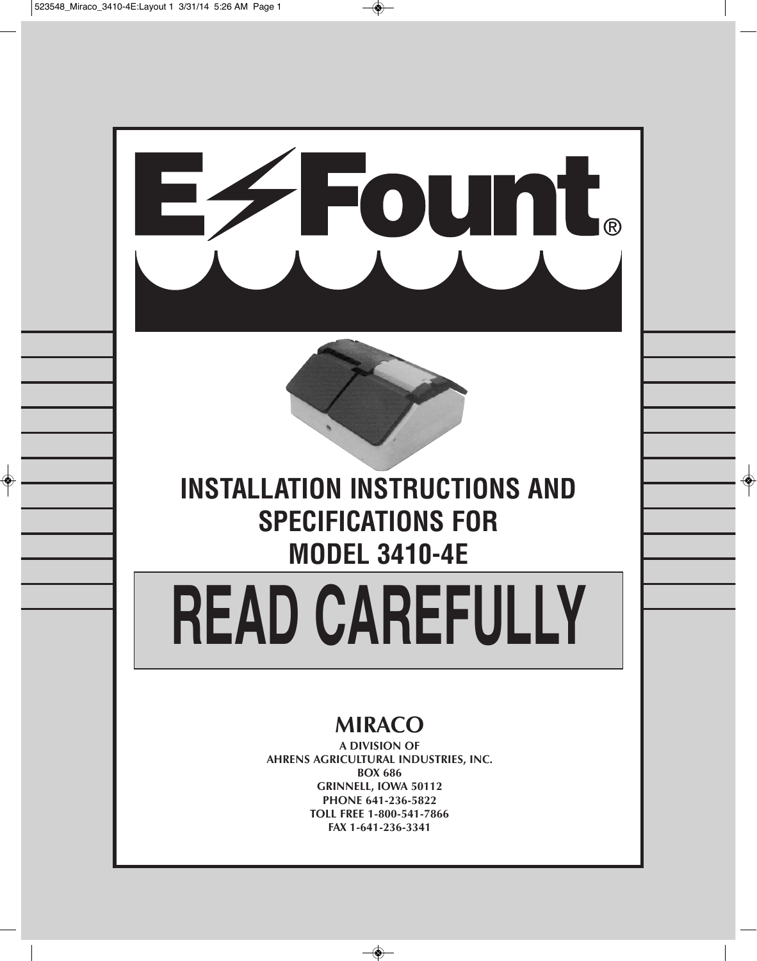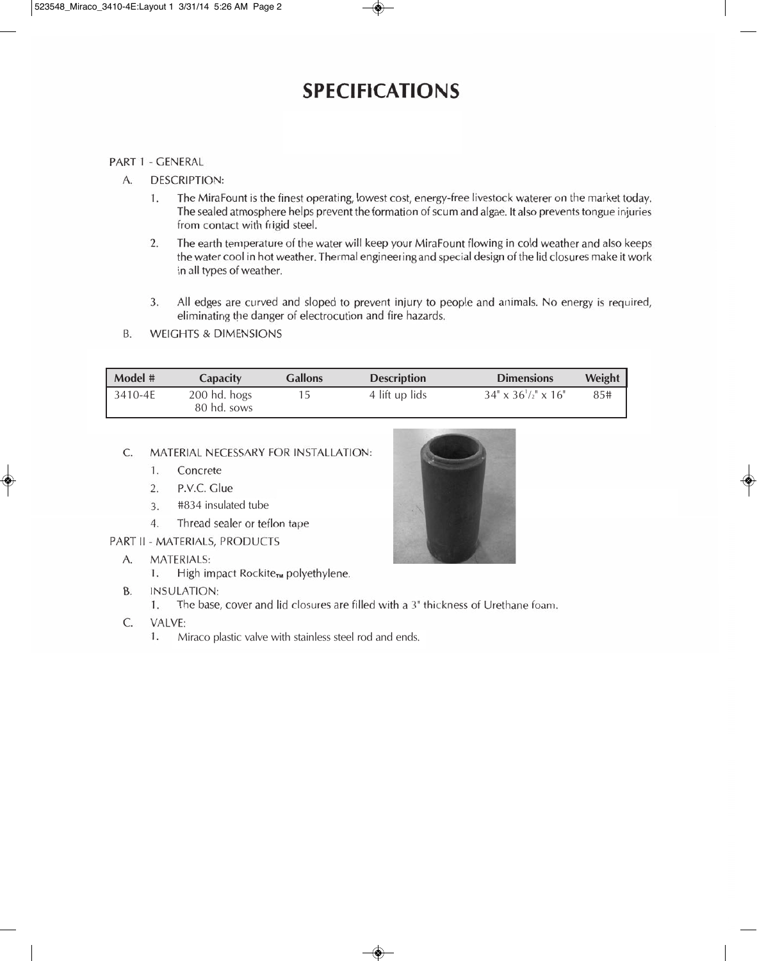## **SPECIFICATIONS**

#### PART 1 - GENERAL

- A. **DESCRIPTION:** 
	- The MiraFount is the finest operating, lowest cost, energy-free livestock waterer on the market today. 1. The sealed atmosphere helps prevent the formation of scum and algae. It also prevents tongue injuries from contact with frigid steel.
	- $2.$ The earth temperature of the water will keep your MiraFount flowing in cold weather and also keeps the water cool in hot weather. Thermal engineering and special design of the lid closures make it work in all types of weather.
	- $3.$ All edges are curved and sloped to prevent injury to people and animals. No energy is required, eliminating the danger of electrocution and fire hazards.
- **WEIGHTS & DIMENSIONS B.**

| Model #     | Capacity                      | <b>Gallons</b> | <b>Description</b> | <b>Dimensions</b>              | <b>Weight</b> |
|-------------|-------------------------------|----------------|--------------------|--------------------------------|---------------|
| $3410 - 4E$ | $200$ hd. hogs<br>80 hd. sows |                | 4 lift up lids     | $34" \times 36'/2" \times 16"$ | 85#           |

#### C. MATERIAL NECESSARY FOR INSTALLATION:

- Concrete 1.
- $2.$ P.V.C. Glue
- #834 insulated tube  $3.$
- $4.$ Thread sealer or teflon tape
- PART II MATERIALS, PRODUCTS
	- A. **MATERIALS:** 
		- High impact Rockite<sub>TM</sub> polyethylene.  $1.$
	- **INSULATION: B.** 
		- $1.$ The base, cover and lid closures are filled with a 3" thickness of Urethane foam.
	- $\mathsf{C}$ VALVE:
		- 1. Miraco plastic valve with stainless steel rod and ends.

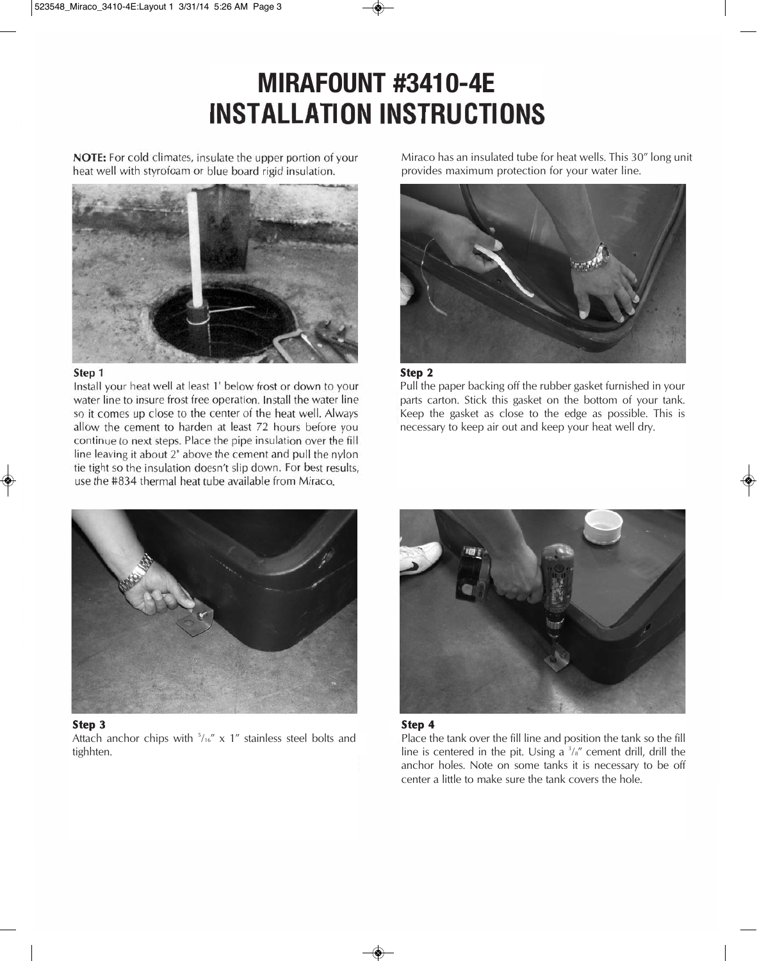# **Mirafount #3410-4E INSTALLATION INSTRUCTIONS**

NOTE: For cold climates, insulate the upper portion of your heat well with styrofoam or blue board rigid insulation.



#### Step 1

Install your heat well at least 1' below frost or down to your water line to insure frost free operation. Install the water line so it comes up close to the center of the heat well. Always allow the cement to harden at least 72 hours before you continue to next steps. Place the pipe insulation over the fill line leaving it about 2" above the cement and pull the nylon tie tight so the insulation doesn't slip down. For best results, use the #834 thermal heat tube available from Miraco.

Miraco has an insulated tube for heat wells. This 30" long unit provides maximum protection for your water line.



#### **Step 2**

Pull the paper backing off the rubber gasket furnished in your parts carton. Stick this gasket on the bottom of your tank. Keep the gasket as close to the edge as possible. This is necessary to keep air out and keep your heat well dry.



#### **Step 3**

Attach anchor chips with  $5/16''$  x 1" stainless steel bolts and tighhten.





Place the tank over the fill line and position the tank so the fill line is centered in the pit. Using a  $\frac{3}{8}$  cement drill, drill the anchor holes. Note on some tanks it is necessary to be off center a little to make sure the tank covers the hole.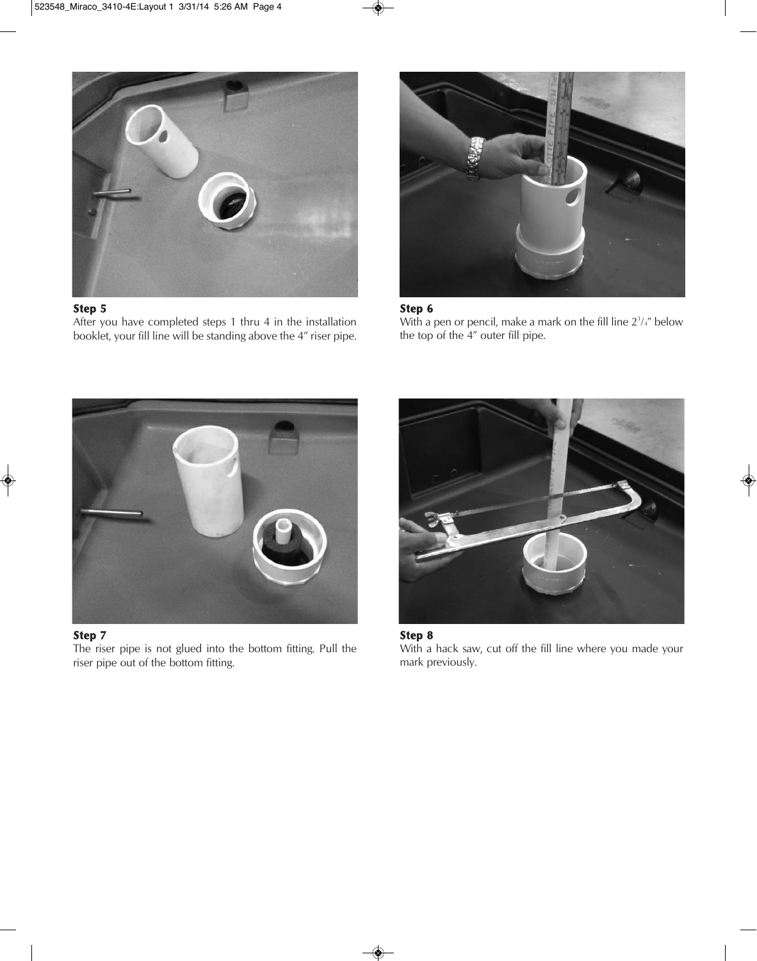

#### **Step 5**

After you have completed steps 1 thru 4 in the installation booklet, your fill line will be standing above the 4" riser pipe.



#### **Step 6**

With a pen or pencil, make a mark on the fill line  $2<sup>3</sup>/<sub>4</sub>$ " below the top of the 4" outer fill pipe.



#### **Step 7**

The riser pipe is not glued into the bottom fitting. Pull the riser pipe out of the bottom fitting.



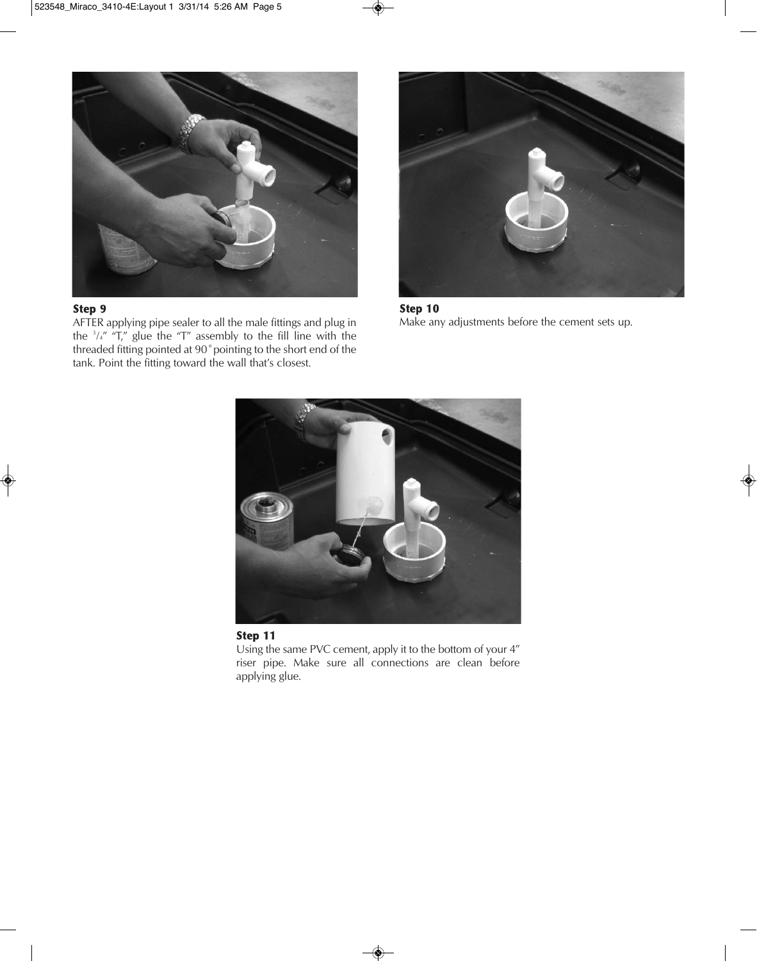

#### **Step 9**

AFTER applying pipe sealer to all the male fittings and plug in the  $\frac{3}{4}$ " "T," glue the "T" assembly to the fill line with the threaded fitting pointed at 90˚pointing to the short end of the tank. Point the fitting toward the wall that's closest.



**Step 10** Make any adjustments before the cement sets up.



#### **Step 11**

Using the same PVC cement, apply it to the bottom of your 4" riser pipe. Make sure all connections are clean before applying glue.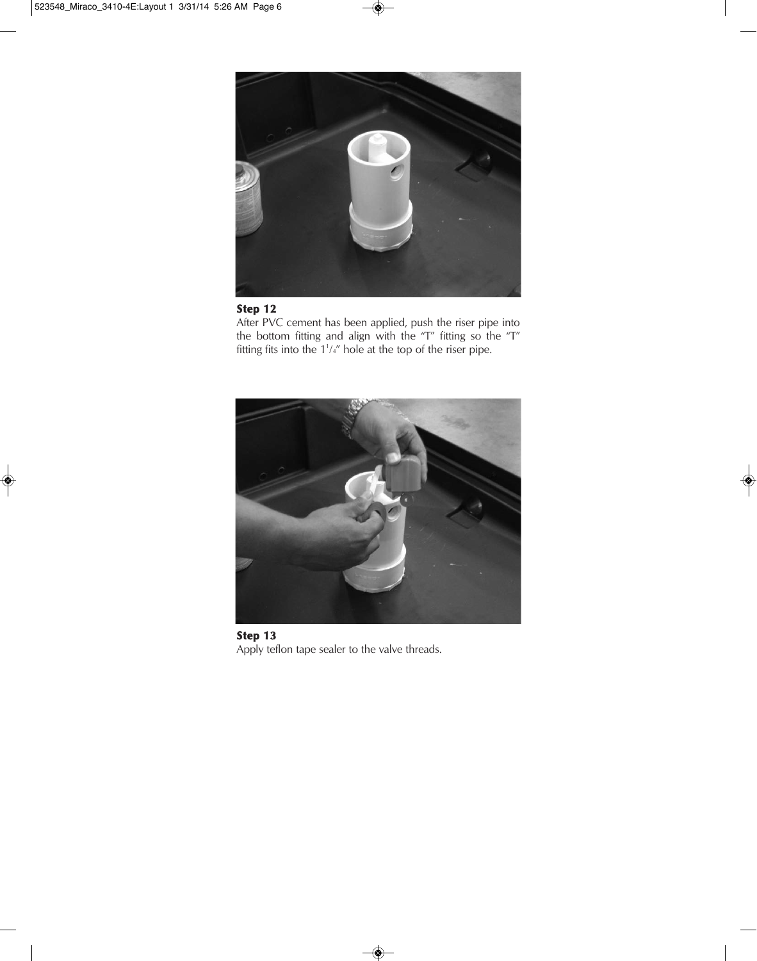

### **Step 12**

After PVC cement has been applied, push the riser pipe into the bottom fitting and align with the "T" fitting so the "T" fitting fits into the  $1<sup>1</sup>/<sub>4</sub>$ " hole at the top of the riser pipe.



**Step 13** Apply teflon tape sealer to the valve threads.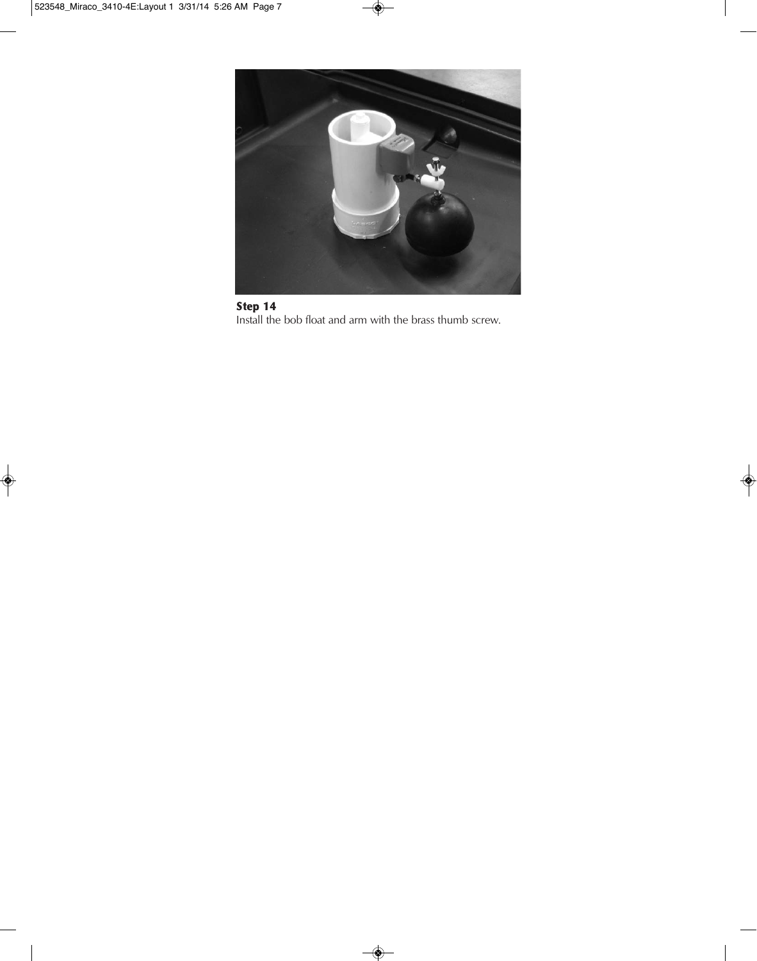

**Step 14** Install the bob float and arm with the brass thumb screw.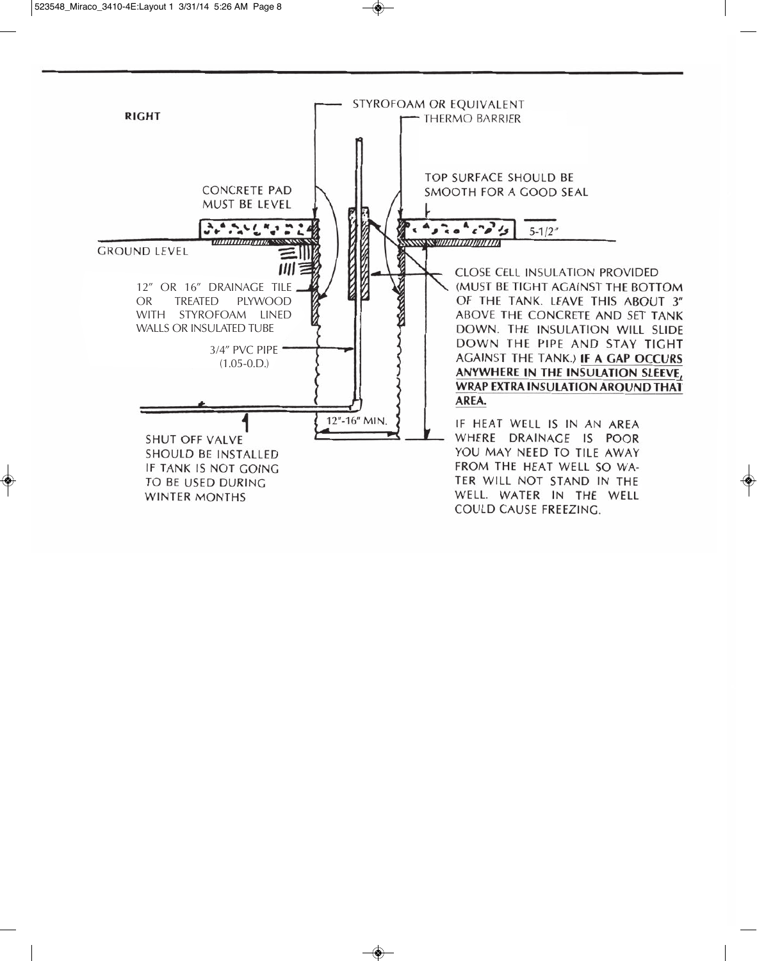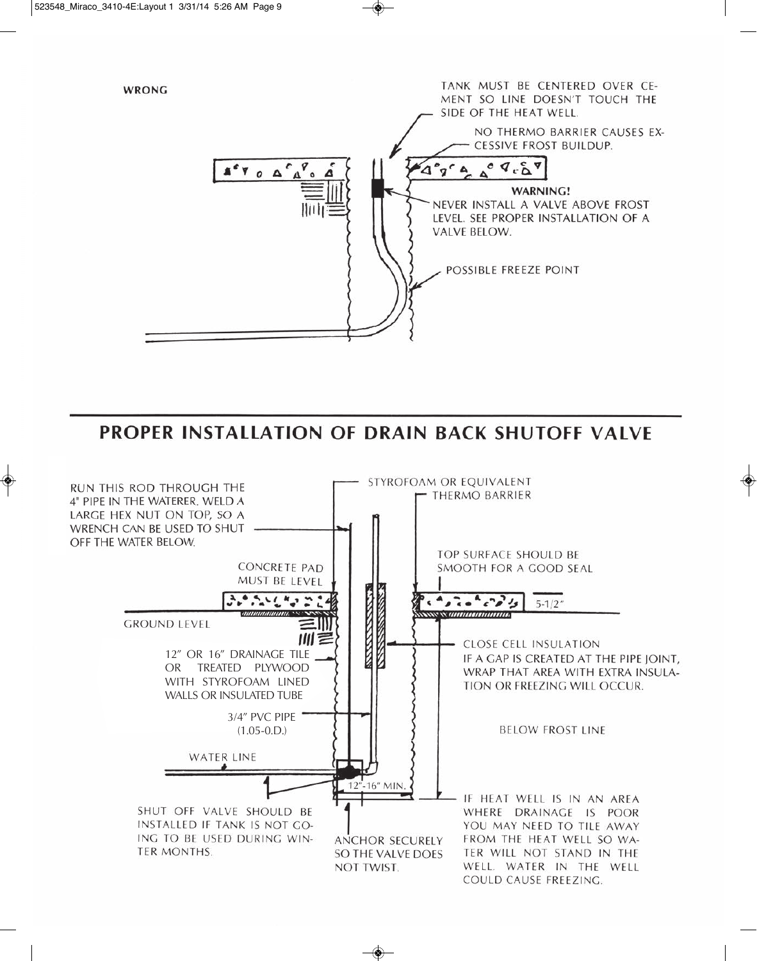

**PROPER INSTALLATION OF DRAIN BACK SHUTOFF VALVE** 

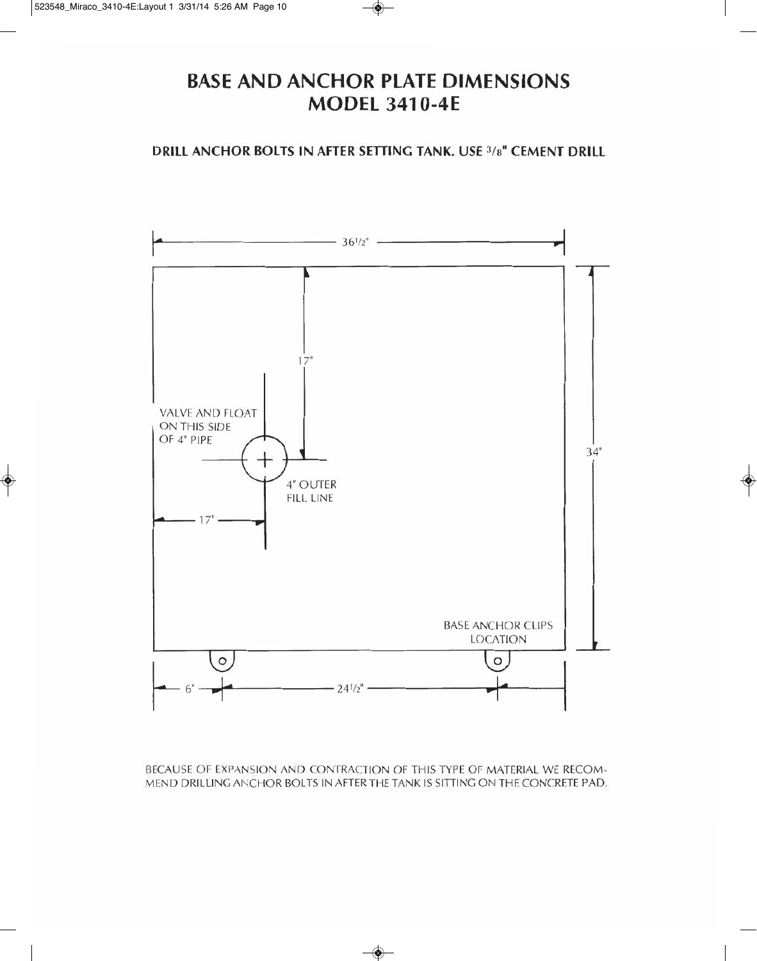### **BASE AND ANCHOR PLATE DIMENSIONS E MANAGEMENT TIPS \mathbf{H} = \mathbf{H} \mathbf{H} \mathbf{H} \mathbf{H} \mathbf{H} \mathbf{H} \mathbf{H} \mathbf{H} \mathbf{H} \mathbf{H} \mathbf{H} \mathbf{H} \mathbf{H} \mathbf{H} \mathbf{H} \mathbf{H} \mathbf{H} \mathbf{H} \mathbf{H} \mathbf{H} \mathbf{H} \mathbf{H} \mathbf{H} \mathbf{H} \mathbf{H} \mathbf{H} \mathbf{H} \mathbf{H} \mathbf{H} \mathbf{H} \mathbf{H} \mathbf{H} \**

DRILL ANCHOR BOLTS IN AFTER SETTING TANK. USE 3/8" CEMENT DRILL



BECAUSE OF EXPANSION AND CONTRACTION OF THIS TYPE OF MATERIAL WE RECOM-MEND DRILLING ANCHOR BOLTS IN AFTER THE TANK IS SITTING ON THE CONCRETE PAD.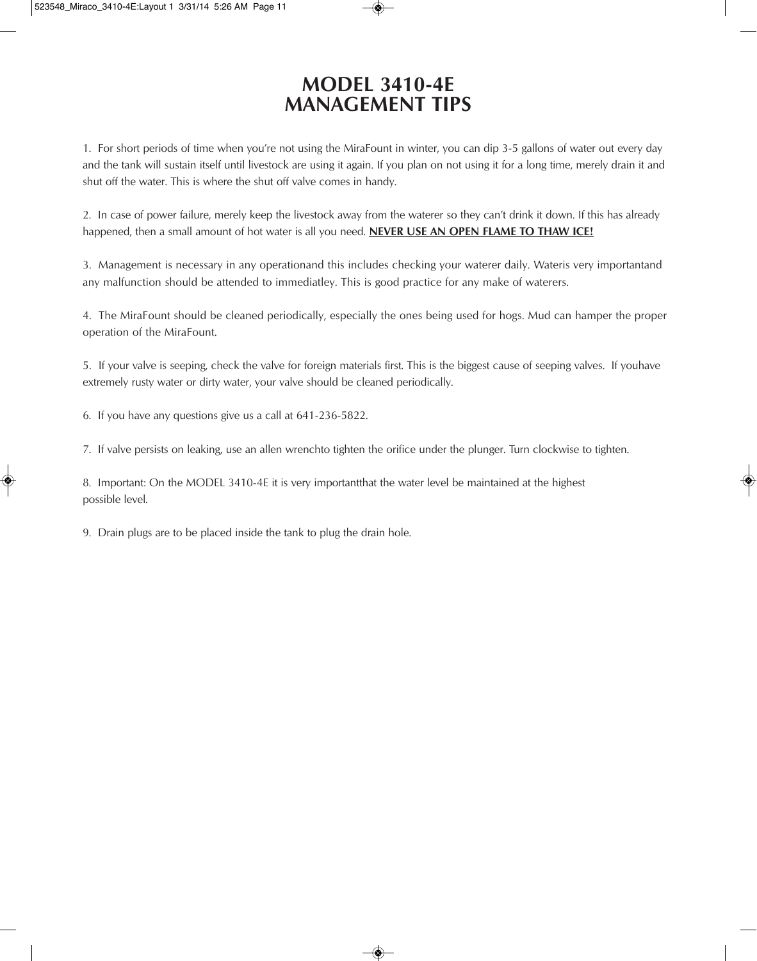### **MODEL 3410-4E MANAGEMENT TIPS**

1. For short periods of time when you're not using the MiraFount in winter, you can dip 3-5 gallons of water out every day and the tank will sustain itself until livestock are using it again. If you plan on not using it for a long time, merely drain it and shut off the water. This is where the shut off valve comes in handy.

2. In case of power failure, merely keep the livestock away from the waterer so they can't drink it down. If this has already happened, then a small amount of hot water is all you need. **NEVER USE AN OPEN FLAME TO THAW ICE!**

3. Management is necessary in any operationand this includes checking your waterer daily. Wateris very importantand any malfunction should be attended to immediatley. This is good practice for any make of waterers.

4. The MiraFount should be cleaned periodically, especially the ones being used for hogs. Mud can hamper the proper operation of the MiraFount.

5. If your valve is seeping, check the valve for foreign materials first. This is the biggest cause of seeping valves. If youhave extremely rusty water or dirty water, your valve should be cleaned periodically.

6. If you have any questions give us a call at 641-236-5822.

7. If valve persists on leaking, use an allen wrenchto tighten the orifice under the plunger. Turn clockwise to tighten.

8. Important: On the MODEL 3410-4E it is very importantthat the water level be maintained at the highest possible level.

9. Drain plugs are to be placed inside the tank to plug the drain hole.